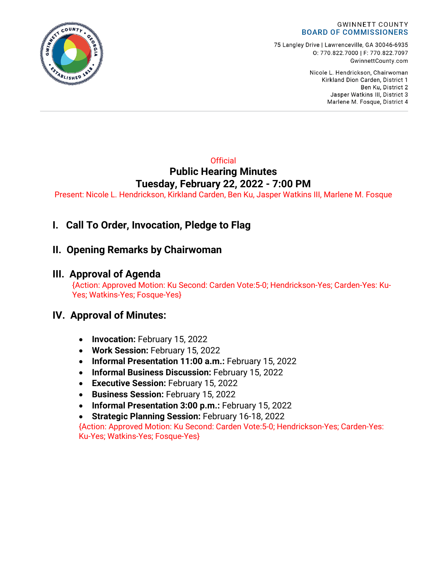

75 Langley Drive | Lawrenceville, GA 30046-6935 0:770.822.7000 | F: 770.822.7097 GwinnettCounty.com

> Nicole L. Hendrickson, Chairwoman Kirkland Dion Carden, District 1 Ben Ku. District 2 Jasper Watkins III, District 3 Marlene M. Fosque, District 4

#### **Official Public Hearing Minutes Tuesday, February 22, 2022 - 7:00 PM**

Present: Nicole L. Hendrickson, Kirkland Carden, Ben Ku, Jasper Watkins III, Marlene M. Fosque

# **I. Call To Order, Invocation, Pledge to Flag**

## **II. Opening Remarks by Chairwoman**

## **III. Approval of Agenda**

 {Action: Approved Motion: Ku Second: Carden Vote:5-0; Hendrickson-Yes; Carden-Yes: Ku-Yes; Watkins-Yes; Fosque-Yes}

### **IV. Approval of Minutes:**

- **Invocation:** February 15, 2022
- **Work Session:** February 15, 2022
- **Informal Presentation 11:00 a.m.:** February 15, 2022
- **Informal Business Discussion:** February 15, 2022
- **Executive Session:** February 15, 2022
- **Business Session:** February 15, 2022
- **Informal Presentation 3:00 p.m.:** February 15, 2022
- **Strategic Planning Session:** February 16-18, 2022

{Action: Approved Motion: Ku Second: Carden Vote:5-0; Hendrickson-Yes; Carden-Yes: Ku-Yes; Watkins-Yes; Fosque-Yes}

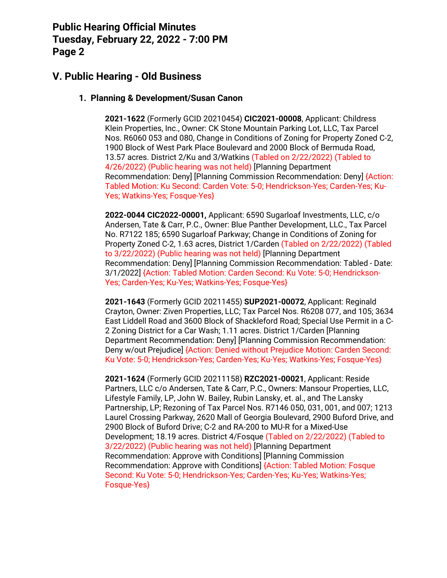## **V. Public Hearing - Old Business**

#### **1. Planning & Development/Susan Canon**

**2021-1622** (Formerly GCID 20210454) **CIC2021-00008**, Applicant: Childress Klein Properties, Inc., Owner: CK Stone Mountain Parking Lot, LLC, Tax Parcel Nos. R6060 053 and 080, Change in Conditions of Zoning for Property Zoned C-2, 1900 Block of West Park Place Boulevard and 2000 Block of Bermuda Road, 13.57 acres. District 2/Ku and 3/Watkins (Tabled on 2/22/2022) (Tabled to 4/26/2022) (Public hearing was not held) [Planning Department Recommendation: Deny] [Planning Commission Recommendation: Deny] {Action: Tabled Motion: Ku Second: Carden Vote: 5-0; Hendrickson-Yes; Carden-Yes; Ku-Yes; Watkins-Yes; Fosque-Yes}

**2022-0044 CIC2022-00001,** Applicant: 6590 Sugarloaf Investments, LLC, c/o Andersen, Tate & Carr, P.C., Owner: Blue Panther Development, LLC., Tax Parcel No. R7122 185; 6590 Sugarloaf Parkway; Change in Conditions of Zoning for Property Zoned C-2, 1.63 acres, District 1/Carden (Tabled on 2/22/2022) (Tabled to 3/22/2022) (Public hearing was not held) [Planning Department Recommendation: Deny] [Planning Commission Recommendation: Tabled - Date: 3/1/2022] {Action: Tabled Motion: Carden Second: Ku Vote: 5-0; Hendrickson-Yes; Carden-Yes; Ku-Yes; Watkins-Yes; Fosque-Yes}

**2021-1643** (Formerly GCID 20211455) **SUP2021-00072**, Applicant: Reginald Crayton, Owner: Ziven Properties, LLC; Tax Parcel Nos. R6208 077, and 105; 3634 East Liddell Road and 3600 Block of Shackleford Road; Special Use Permit in a C-2 Zoning District for a Car Wash; 1.11 acres. District 1/Carden [Planning Department Recommendation: Deny] [Planning Commission Recommendation: Deny w/out Prejudice] {Action: Denied without Prejudice Motion: Carden Second: Ku Vote: 5-0; Hendrickson-Yes; Carden-Yes; Ku-Yes; Watkins-Yes; Fosque-Yes}

**2021-1624** (Formerly GCID 20211158) **RZC2021-00021**, Applicant: Reside Partners, LLC c/o Andersen, Tate & Carr, P.C., Owners: Mansour Properties, LLC, Lifestyle Family, LP, John W. Bailey, Rubin Lansky, et. al., and The Lansky Partnership, LP; Rezoning of Tax Parcel Nos. R7146 050, 031, 001, and 007; 1213 Laurel Crossing Parkway, 2620 Mall of Georgia Boulevard, 2900 Buford Drive, and 2900 Block of Buford Drive; C-2 and RA-200 to MU-R for a Mixed-Use Development; 18.19 acres. District 4/Fosque (Tabled on 2/22/2022) (Tabled to 3/22/2022) (Public hearing was not held) [Planning Department Recommendation: Approve with Conditions] [Planning Commission Recommendation: Approve with Conditions] {Action: Tabled Motion: Fosque Second: Ku Vote: 5-0; Hendrickson-Yes; Carden-Yes; Ku-Yes; Watkins-Yes; Fosque-Yes}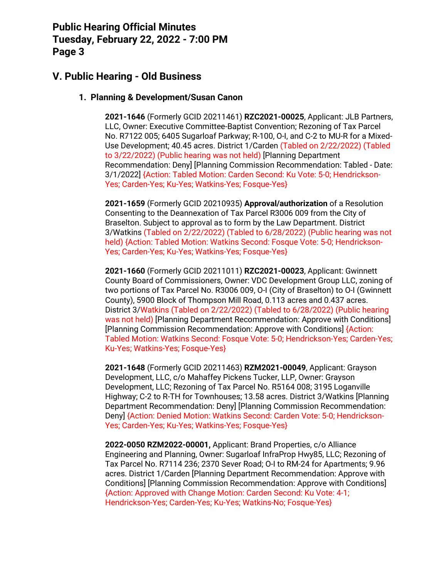## **V. Public Hearing - Old Business**

#### **1. Planning & Development/Susan Canon**

**2021-1646** (Formerly GCID 20211461) **RZC2021-00025**, Applicant: JLB Partners, LLC, Owner: Executive Committee-Baptist Convention; Rezoning of Tax Parcel No. R7122 005; 6405 Sugarloaf Parkway; R-100, O-I, and C-2 to MU-R for a Mixed-Use Development; 40.45 acres. District 1/Carden (Tabled on 2/22/2022) (Tabled to 3/22/2022) (Public hearing was not held) [Planning Department Recommendation: Deny] [Planning Commission Recommendation: Tabled - Date: 3/1/2022] {Action: Tabled Motion: Carden Second: Ku Vote: 5-0; Hendrickson-Yes; Carden-Yes; Ku-Yes; Watkins-Yes; Fosque-Yes}

**2021-1659** (Formerly GCID 20210935) **Approval/authorization** of a Resolution Consenting to the Deannexation of Tax Parcel R3006 009 from the City of Braselton. Subject to approval as to form by the Law Department. District 3/Watkins (Tabled on 2/22/2022) (Tabled to 6/28/2022) (Public hearing was not held) {Action: Tabled Motion: Watkins Second: Fosque Vote: 5-0; Hendrickson-Yes; Carden-Yes; Ku-Yes; Watkins-Yes; Fosque-Yes}

**2021-1660** (Formerly GCID 20211011) **RZC2021-00023**, Applicant: Gwinnett County Board of Commissioners, Owner: VDC Development Group LLC, zoning of two portions of Tax Parcel No. R3006 009, O-I (City of Braselton) to O-I (Gwinnett County), 5900 Block of Thompson Mill Road, 0.113 acres and 0.437 acres. District 3/Watkins (Tabled on 2/22/2022) (Tabled to 6/28/2022) (Public hearing was not held) [Planning Department Recommendation: Approve with Conditions] [Planning Commission Recommendation: Approve with Conditions] {Action: Tabled Motion: Watkins Second: Fosque Vote: 5-0; Hendrickson-Yes; Carden-Yes; Ku-Yes; Watkins-Yes; Fosque-Yes}

**2021-1648** (Formerly GCID 20211463) **RZM2021-00049**, Applicant: Grayson Development, LLC, c/o Mahaffey Pickens Tucker, LLP, Owner: Grayson Development, LLC; Rezoning of Tax Parcel No. R5164 008; 3195 Loganville Highway; C-2 to R-TH for Townhouses; 13.58 acres. District 3/Watkins [Planning Department Recommendation: Deny] [Planning Commission Recommendation: Deny] {Action: Denied Motion: Watkins Second: Carden Vote: 5-0; Hendrickson-Yes; Carden-Yes; Ku-Yes; Watkins-Yes; Fosque-Yes}

**2022-0050 RZM2022-00001,** Applicant: Brand Properties, c/o Alliance Engineering and Planning, Owner: Sugarloaf InfraProp Hwy85, LLC; Rezoning of Tax Parcel No. R7114 236; 2370 Sever Road; O-I to RM-24 for Apartments; 9.96 acres. District 1/Carden [Planning Department Recommendation: Approve with Conditions] [Planning Commission Recommendation: Approve with Conditions] {Action: Approved with Change Motion: Carden Second: Ku Vote: 4-1; Hendrickson-Yes; Carden-Yes; Ku-Yes; Watkins-No; Fosque-Yes}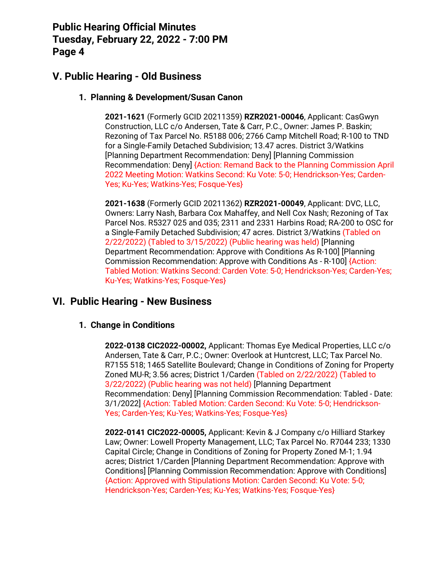## **V. Public Hearing - Old Business**

#### **1. Planning & Development/Susan Canon**

**2021-1621** (Formerly GCID 20211359) **RZR2021-00046**, Applicant: CasGwyn Construction, LLC c/o Andersen, Tate & Carr, P.C., Owner: James P. Baskin; Rezoning of Tax Parcel No. R5188 006; 2766 Camp Mitchell Road; R-100 to TND for a Single-Family Detached Subdivision; 13.47 acres. District 3/Watkins [Planning Department Recommendation: Deny] [Planning Commission Recommendation: Deny] {Action: Remand Back to the Planning Commission April 2022 Meeting Motion: Watkins Second: Ku Vote: 5-0; Hendrickson-Yes; Carden-Yes; Ku-Yes; Watkins-Yes; Fosque-Yes}

**2021-1638** (Formerly GCID 20211362) **RZR2021-00049**, Applicant: DVC, LLC, Owners: Larry Nash, Barbara Cox Mahaffey, and Nell Cox Nash; Rezoning of Tax Parcel Nos. R5327 025 and 035; 2311 and 2331 Harbins Road; RA-200 to OSC for a Single-Family Detached Subdivision; 47 acres. District 3/Watkins (Tabled on 2/22/2022) (Tabled to 3/15/2022) (Public hearing was held) [Planning Department Recommendation: Approve with Conditions As R-100] [Planning Commission Recommendation: Approve with Conditions As - R-100] {Action: Tabled Motion: Watkins Second: Carden Vote: 5-0; Hendrickson-Yes; Carden-Yes; Ku-Yes; Watkins-Yes; Fosque-Yes}

### **VI. Public Hearing - New Business**

#### **1. Change in Conditions**

**2022-0138 CIC2022-00002,** Applicant: Thomas Eye Medical Properties, LLC c/o Andersen, Tate & Carr, P.C.; Owner: Overlook at Huntcrest, LLC; Tax Parcel No. R7155 518; 1465 Satellite Boulevard; Change in Conditions of Zoning for Property Zoned MU-R; 3.56 acres; District 1/Carden (Tabled on 2/22/2022) (Tabled to 3/22/2022) (Public hearing was not held) [Planning Department Recommendation: Deny] [Planning Commission Recommendation: Tabled - Date: 3/1/2022] {Action: Tabled Motion: Carden Second: Ku Vote: 5-0; Hendrickson-Yes; Carden-Yes; Ku-Yes; Watkins-Yes; Fosque-Yes}

**2022-0141 CIC2022-00005,** Applicant: Kevin & J Company c/o Hilliard Starkey Law; Owner: Lowell Property Management, LLC; Tax Parcel No. R7044 233; 1330 Capital Circle; Change in Conditions of Zoning for Property Zoned M-1; 1.94 acres; District 1/Carden [Planning Department Recommendation: Approve with Conditions] [Planning Commission Recommendation: Approve with Conditions] {Action: Approved with Stipulations Motion: Carden Second: Ku Vote: 5-0; Hendrickson-Yes; Carden-Yes; Ku-Yes; Watkins-Yes; Fosque-Yes}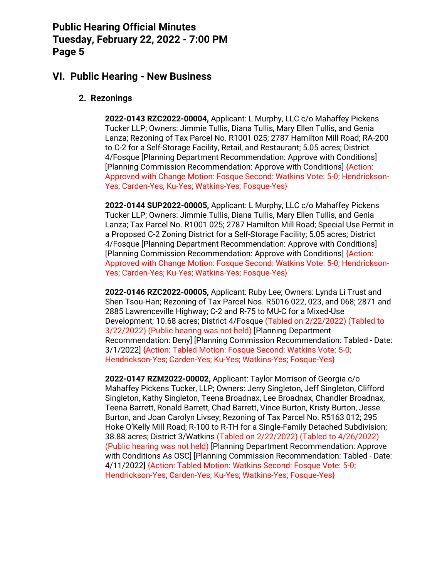#### **VI. Public Hearing - New Business**

#### **2. Rezonings**

**2022-0143 RZC2022-00004,** Applicant: L Murphy, LLC c/o Mahaffey Pickens Tucker LLP; Owners: Jimmie Tullis, Diana Tullis, Mary Ellen Tullis, and Genia Lanza; Rezoning of Tax Parcel No. R1001 025; 2787 Hamilton Mill Road; RA-200 to C-2 for a Self-Storage Facility, Retail, and Restaurant; 5.05 acres; District 4/Fosque [Planning Department Recommendation: Approve with Conditions] [Planning Commission Recommendation: Approve with Conditions] {Action: Approved with Change Motion: Fosque Second: Watkins Vote: 5-0; Hendrickson-Yes; Carden-Yes; Ku-Yes; Watkins-Yes; Fosque-Yes}

**2022-0144 SUP2022-00005,** Applicant: L Murphy, LLC c/o Mahaffey Pickens Tucker LLP; Owners: Jimmie Tullis, Diana Tullis, Mary Ellen Tullis, and Genia Lanza; Tax Parcel No. R1001 025; 2787 Hamilton Mill Road; Special Use Permit in a Proposed C-2 Zoning District for a Self-Storage Facility; 5.05 acres; District 4/Fosque [Planning Department Recommendation: Approve with Conditions] [Planning Commission Recommendation: Approve with Conditions] {Action: Approved with Change Motion: Fosque Second: Watkins Vote: 5-0; Hendrickson-Yes; Carden-Yes; Ku-Yes; Watkins-Yes; Fosque-Yes}

**2022-0146 RZC2022-00005,** Applicant: Ruby Lee; Owners: Lynda Li Trust and Shen Tsou-Han; Rezoning of Tax Parcel Nos. R5016 022, 023, and 068; 2871 and 2885 Lawrenceville Highway; C-2 and R-75 to MU-C for a Mixed-Use Development; 10.68 acres; District 4/Fosque (Tabled on 2/22/2022) (Tabled to 3/22/2022) (Public hearing was not held) [Planning Department Recommendation: Deny] [Planning Commission Recommendation: Tabled - Date: 3/1/2022] {Action: Tabled Motion: Fosque Second: Watkins Vote: 5-0; Hendrickson-Yes; Carden-Yes; Ku-Yes; Watkins-Yes; Fosque-Yes}

**2022-0147 RZM2022-00002,** Applicant: Taylor Morrison of Georgia c/o Mahaffey Pickens Tucker, LLP; Owners: Jerry Singleton, Jeff Singleton, Clifford Singleton, Kathy Singleton, Teena Broadnax, Lee Broadnax, Chandler Broadnax, Teena Barrett, Ronald Barrett, Chad Barrett, Vince Burton, Kristy Burton, Jesse Burton, and Joan Carolyn Livsey; Rezoning of Tax Parcel No. R5163 012; 295 Hoke O'Kelly Mill Road; R-100 to R-TH for a Single-Family Detached Subdivision; 38.88 acres; District 3/Watkins (Tabled on 2/22/2022) (Tabled to 4/26/2022) (Public hearing was not held) [Planning Department Recommendation: Approve with Conditions As OSC] [Planning Commission Recommendation: Tabled - Date: 4/11/2022] {Action: Tabled Motion: Watkins Second: Fosque Vote: 5-0; Hendrickson-Yes; Carden-Yes; Ku-Yes; Watkins-Yes; Fosque-Yes}